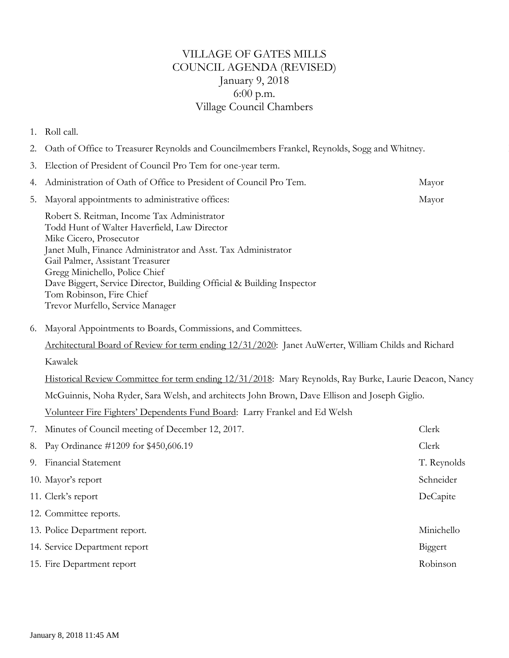## VILLAGE OF GATES MILLS COUNCIL AGENDA (REVISED) January 9, 2018 6:00 p.m. Village Council Chambers

## 1. Roll call.

- 2. Oath of Office to Treasurer Reynolds and Councilmembers Frankel, Reynolds, Sogg and Whitney.
- 3. Election of President of Council Pro Tem for one-year term.

| 4.                                                                 | Administration of Oath of Office to President of Council Pro Tem.                                                                                                                                                                                                                                                                                                                                       | Mayor       |
|--------------------------------------------------------------------|---------------------------------------------------------------------------------------------------------------------------------------------------------------------------------------------------------------------------------------------------------------------------------------------------------------------------------------------------------------------------------------------------------|-------------|
| 5.                                                                 | Mayoral appointments to administrative offices:                                                                                                                                                                                                                                                                                                                                                         | Mayor       |
|                                                                    | Robert S. Reitman, Income Tax Administrator<br>Todd Hunt of Walter Haverfield, Law Director<br>Mike Cicero, Prosecutor<br>Janet Mulh, Finance Administrator and Asst. Tax Administrator<br>Gail Palmer, Assistant Treasurer<br>Gregg Minichello, Police Chief<br>Dave Biggert, Service Director, Building Official & Building Inspector<br>Tom Robinson, Fire Chief<br>Trevor Murfello, Service Manager |             |
| Mayoral Appointments to Boards, Commissions, and Committees.<br>6. |                                                                                                                                                                                                                                                                                                                                                                                                         |             |
|                                                                    | Architectural Board of Review for term ending 12/31/2020: Janet AuWerter, William Childs and Richard                                                                                                                                                                                                                                                                                                    |             |
|                                                                    | Kawalek                                                                                                                                                                                                                                                                                                                                                                                                 |             |
|                                                                    | Historical Review Committee for term ending 12/31/2018: Mary Reynolds, Ray Burke, Laurie Deacon, Nancy                                                                                                                                                                                                                                                                                                  |             |
|                                                                    | McGuinnis, Noha Ryder, Sara Welsh, and architects John Brown, Dave Ellison and Joseph Giglio.                                                                                                                                                                                                                                                                                                           |             |
|                                                                    | Volunteer Fire Fighters' Dependents Fund Board: Larry Frankel and Ed Welsh                                                                                                                                                                                                                                                                                                                              |             |
| 7.                                                                 | Minutes of Council meeting of December 12, 2017.                                                                                                                                                                                                                                                                                                                                                        | Clerk       |
| 8.                                                                 | Pay Ordinance #1209 for \$450,606.19                                                                                                                                                                                                                                                                                                                                                                    | Clerk       |
| 9.                                                                 | Financial Statement                                                                                                                                                                                                                                                                                                                                                                                     | T. Reynolds |
|                                                                    | 10. Mayor's report                                                                                                                                                                                                                                                                                                                                                                                      | Schneider   |
|                                                                    | 11. Clerk's report                                                                                                                                                                                                                                                                                                                                                                                      | DeCapite    |
|                                                                    | 12. Committee reports.                                                                                                                                                                                                                                                                                                                                                                                  |             |
|                                                                    | 13. Police Department report.                                                                                                                                                                                                                                                                                                                                                                           | Minichello  |
|                                                                    | 14. Service Department report                                                                                                                                                                                                                                                                                                                                                                           | Biggert     |
|                                                                    | 15. Fire Department report                                                                                                                                                                                                                                                                                                                                                                              | Robinson    |